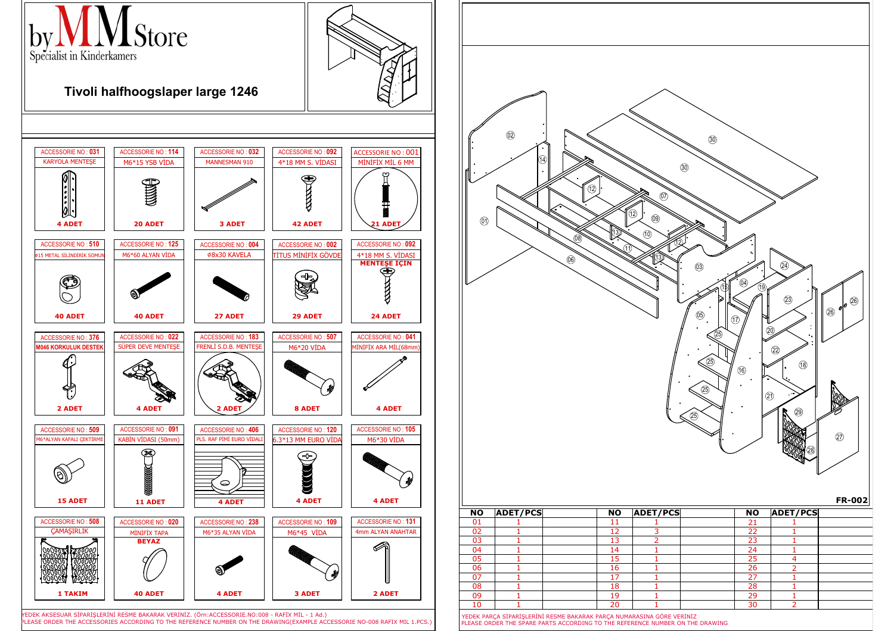

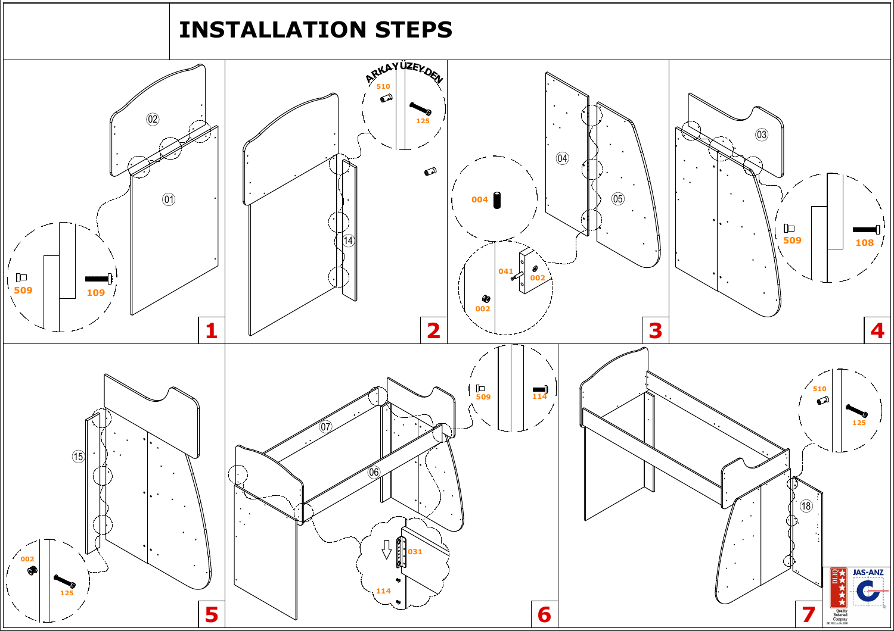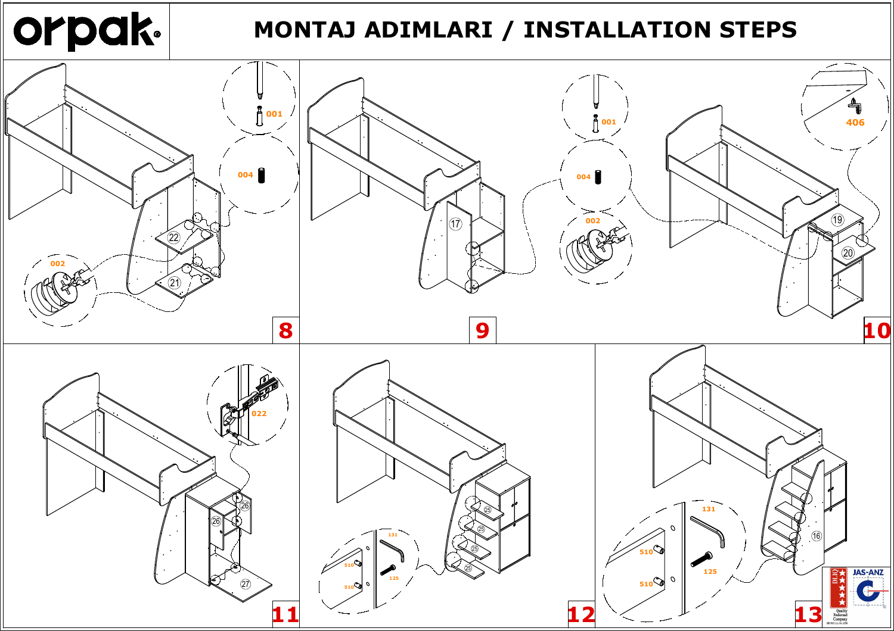